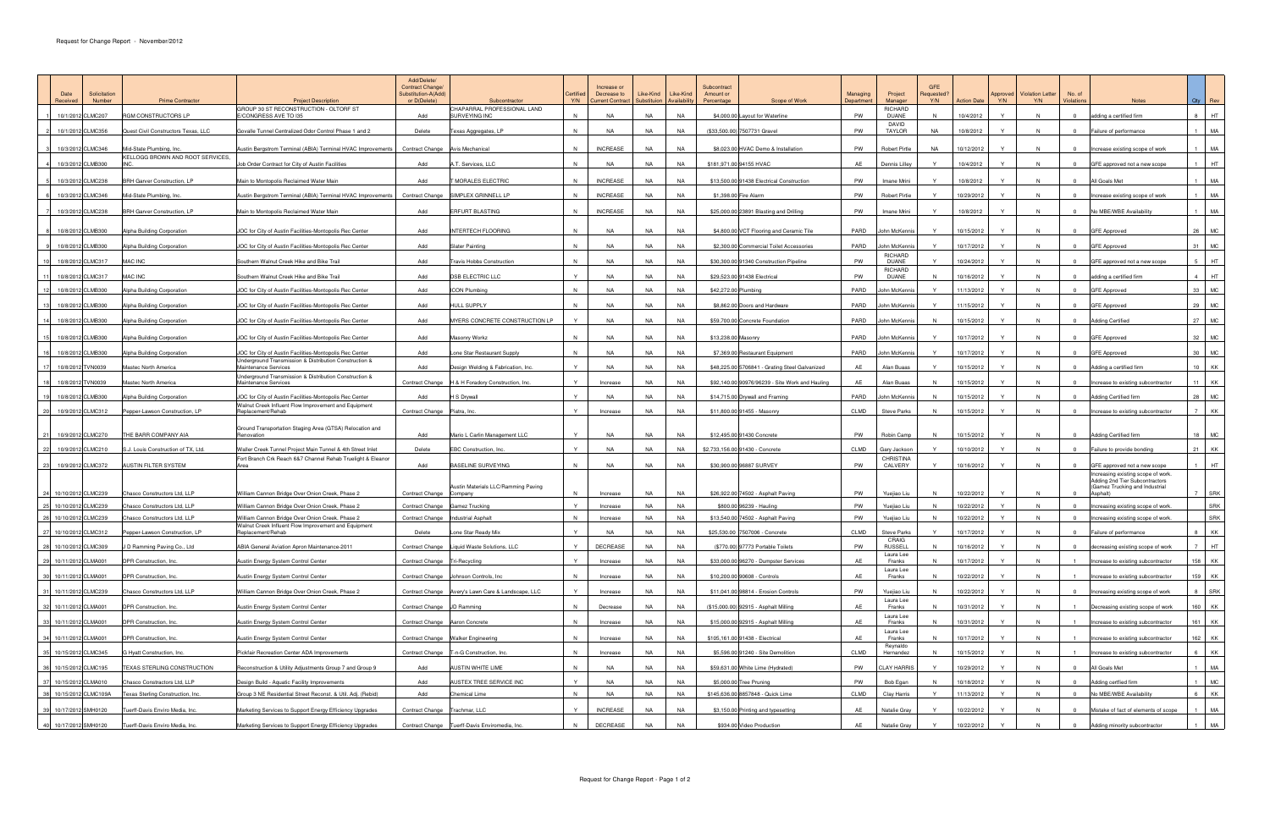| Solicitation<br>Number<br>Received              | <b>Prime Contractor</b>                                           | <b>Project Description</b>                                                                                  | Add/Delete/<br>Contract Change/<br>Substitution-A(Add)<br>or D(Delete) | Subcontractor                                       | Certified<br>Y/N | Increase or<br>Decrease to<br>Current Contract   Substituion   Availability | Like-Kind              | Like-Kind              | Subcontract<br>Amount or<br>Percentage | Scope of Work                                   | <b>Managing</b><br>Department | Project<br>Manager          | Requested?<br>Y/N | Action Date              | Y/N          | Approved   Violation Letter<br>Y/N | No. of<br>Violations             | <b>Notes</b>                                                         |                | $Qty$ Rev         |
|-------------------------------------------------|-------------------------------------------------------------------|-------------------------------------------------------------------------------------------------------------|------------------------------------------------------------------------|-----------------------------------------------------|------------------|-----------------------------------------------------------------------------|------------------------|------------------------|----------------------------------------|-------------------------------------------------|-------------------------------|-----------------------------|-------------------|--------------------------|--------------|------------------------------------|----------------------------------|----------------------------------------------------------------------|----------------|-------------------|
| 10/1/2012 CLMC207                               | RGM CONSTRUCTORS LP                                               | GROUP 30 ST RECONSTRUCTION - OLTORF ST<br>E/CONGRESS AVE TO I35                                             | Add                                                                    | CHAPARRAL PROFESSIONAL LAND<br>SURVEYING INC        | N                | NA                                                                          | NA                     | NA                     |                                        | \$4,000.00 Layout for Waterline                 | PW                            | RICHARD<br>DUANE            | N                 | 10/4/2012                |              | N                                  | $\overline{0}$                   | adding a certified firm                                              |                | 8 HT              |
| 10/1/2012 CLMC356                               | Quest Civil Constructors Texas, LLC                               | Govalle Tunnel Centralized Odor Control Phase 1 and 2                                                       | Delete                                                                 | Texas Aggregates, LP                                | N                | <b>NA</b>                                                                   | <b>NA</b>              | NA                     | (\$33,500.00) 7507731 Gravel           |                                                 | PW                            | DAVID<br><b>TAYLOR</b>      | NA                | 10/8/2012                | Y            | N.                                 | $\overline{0}$                   | Failure of performance                                               |                | MA                |
| 10/3/2012 CLMC346                               |                                                                   |                                                                                                             |                                                                        |                                                     |                  |                                                                             |                        |                        |                                        |                                                 |                               |                             |                   |                          | <b>Y</b>     |                                    |                                  |                                                                      |                | MA                |
|                                                 | Mid-State Plumbing, Inc.<br>KELLOGG BROWN AND ROOT SERVICES,      | Austin Bergstrom Terminal (ABIA) Terminal HVAC Improvements   Contract Change   Avis Mechanical             |                                                                        |                                                     | $\mathsf{N}$     | <b>INCREASE</b>                                                             | NA                     | NA                     |                                        | \$8,023.00 HVAC Demo & Installation             | PW                            | Robert Pirtle               | NA                | 10/12/2012               |              | N                                  | $\circ$                          | Increase existing scope of work                                      |                |                   |
| 10/3/2012 CLMB300                               | <b>INC</b>                                                        | Job Order Contract for City of Austin Facilities                                                            | Add                                                                    | A.T. Services, LLC                                  | N                | <b>NA</b>                                                                   | <b>NA</b>              | NA                     | \$181,971.00 94155 HVAC                |                                                 | AF                            | Dennis Lilley               |                   | 10/4/2012                | $\mathbf{v}$ | N                                  |                                  | GFE approved not a new scope                                         |                | <b>HT</b>         |
| 10/3/2012 CLMC238                               | BRH Garver Construction, LP                                       | Main to Montopolis Reclaimed Water Main                                                                     | Add                                                                    | MORALES ELECTRIC                                    | N                | <b>INCREASE</b>                                                             | <b>NA</b>              | NA                     |                                        | \$13,500.00 91438 Electrical Construction       | PW                            | Imane Mrini                 | Y.                | 10/8/2012                | Y            | N                                  | $\overline{0}$                   | All Goals Met                                                        |                | MA                |
| 10/3/2012 CLMC346                               | Mid-State Plumbing, Inc.                                          | Austin Bergstrom Terminal (ABIA) Terminal HVAC Improvements                                                 | <b>Contract Change</b>                                                 | SIMPLEX GRINNELL LP                                 |                  | <b>INCREASE</b>                                                             | NA                     | NA                     | \$1,398.00 Fire Alarm                  |                                                 | PW                            | Robert Pirtie               | $\mathsf{Y}$      | 10/29/2012               |              | N                                  |                                  | Increase existing scope of work                                      |                | MA                |
| 7 10/3/2012 CLMC238                             | BRH Garver Construction, LP                                       | Main to Montopolis Reclaimed Water Main                                                                     | Add                                                                    | <b>ERFURT BLASTING</b>                              | N                | <b>INCREASE</b>                                                             | NA                     | <b>NA</b>              |                                        | \$25,000.00 23891 Blasting and Drilling         | PW                            | Imane Mrini                 | $\mathsf{Y}$      | 10/8/2012                | Y            | N                                  | $\overline{0}$                   | No MBE/WBE Availability                                              |                | MA                |
| 8 10/8/2012 CLMB300                             | Alpha Building Corporation                                        | JOC for City of Austin Facilities-Montopolis Rec Center                                                     | Add                                                                    | <b>INTERTECH FLOORING</b>                           | N                | NA                                                                          | NA                     | NA                     |                                        | \$4,800.00 VCT Flooring and Ceramic Tile        | PARD                          | John McKennis               | Y                 | 10/15/2012               | Y            | N                                  | $\overline{0}$                   | <b>GFE Approved</b>                                                  |                | 26 MC             |
| 9 10/8/2012 CLMB300                             | Alpha Building Corporation                                        | JOC for City of Austin Facilities-Montopolis Rec Center                                                     | Add                                                                    | Slater Painting                                     | N                | <b>NA</b>                                                                   | <b>NA</b>              | <b>NA</b>              |                                        | \$2,300.00 Commercial Toilet Accessories        | PARD                          | John McKennis               |                   | 10/17/2012               |              | N                                  |                                  | <b>GFE Approved</b>                                                  | 31             | <b>MC</b>         |
|                                                 |                                                                   |                                                                                                             |                                                                        |                                                     |                  |                                                                             |                        |                        |                                        |                                                 |                               | RICHARD                     |                   |                          |              |                                    |                                  |                                                                      |                |                   |
| 10/8/2012 CLMC317                               | <b>MAC INC</b>                                                    | Southern Walnut Creek Hike and Bike Trail                                                                   | Add                                                                    | Travis Hobbs Construction                           | N                | NA                                                                          | <b>NA</b>              | <b>NA</b>              |                                        | \$30,300.00 91340 Construction Pipeline         | PW                            | <b>DUANE</b><br>RICHARD     | Y                 | 10/24/2012               | Y            | N                                  | $\Omega$                         | GFE approved not a new scope                                         | 5 <sub>1</sub> | HT.               |
| 10/8/2012 CLMC317                               | <b>MAC INC</b>                                                    | Southern Walnut Creek Hike and Bike Trail                                                                   | Add                                                                    | <b>DSB ELECTRIC LLC</b>                             | <b>Y</b>         | <b>NA</b>                                                                   | NA                     | <b>NA</b>              | \$29,523.00 91438 Electrical           |                                                 | PW                            | DUANE                       | N.                | 10/16/2012               | <b>Y</b>     | N                                  | $\Omega$                         | adding a certified firm                                              |                | $4$ HT            |
| 2 10/8/2012 CLMB300                             | Alpha Building Corporation                                        | JOC for City of Austin Facilities-Montopolis Rec Center                                                     | Add                                                                    | <b>ICON Plumbing</b>                                | N                | <b>NA</b>                                                                   | <b>NA</b>              | <b>NA</b>              | \$42,272.00 Plumbing                   |                                                 | PARD                          | John McKennis               |                   | 11/13/2012               |              | N                                  |                                  | <b>GFE Approved</b>                                                  |                | 33   MC           |
| 13 10/8/2012 CLMB300                            | <b>Alpha Building Corporation</b>                                 | JOC for City of Austin Facilities-Montopolis Rec Center                                                     | Add                                                                    | HULL SUPPLY                                         | N                | <b>NA</b>                                                                   | <b>NA</b>              | NA                     |                                        | \$8,862.00 Doors and Hardware                   | PARD                          | John McKennis               | Y                 | 11/15/2012               | Y            | N                                  | $\Omega$                         | <b>GFE Approved</b>                                                  |                | 29 MC             |
| 14 10/8/2012 CLMB300                            | Alpha Building Corporation                                        | JOC for City of Austin Facilities-Montopolis Rec Center                                                     | Add                                                                    | MYERS CONCRETE CONSTRUCTION LP                      |                  | <b>NA</b>                                                                   | <b>NA</b>              | <b>NA</b>              |                                        | \$59,700.00 Concrete Foundation                 | PARD                          | John McKennis               | N                 | 10/15/2012               |              | N                                  |                                  | <b>Adding Certified</b>                                              |                | 27 MC             |
| 15 10/8/2012 CLMB300                            | Alpha Building Corporation                                        | JOC for City of Austin Facilities-Montopolis Rec Center                                                     | Add                                                                    | Masonry Workz                                       | N                | <b>NA</b>                                                                   | NA                     | <b>NA</b>              | \$13,238.00 Masonry                    |                                                 | PARD                          | John McKennis               | $\mathsf{Y}$      | 10/17/2012               | Y            | N                                  | $\overline{0}$                   | <b>GFE Approved</b>                                                  |                | 32 MC             |
| 16 10/8/2012 CLMB300                            | Alpha Building Corporation                                        | JOC for City of Austin Facilities-Montopolis Rec Center                                                     | Add                                                                    | Lone Star Restaurant Supply                         | N                | NA                                                                          | <b>NA</b>              | <b>NA</b>              |                                        | \$7,369.00 Restaurant Equipment                 | PARD                          | John McKennis               | $\mathsf{Y}$      | 10/17/2012               | Y.           | N                                  | $\overline{0}$                   | <b>GFE Approved</b>                                                  |                | 30   MC           |
| 17 10/8/2012 TVN0039                            | Mastec North America                                              | Underground Transmission & Distribution Construction &<br>Maintenance Services                              | Add                                                                    | Design Welding & Fabrication, Inc.                  | Y                | <b>NA</b>                                                                   | NA                     | NA                     |                                        | \$48,225.00 5706841 - Grating Steel Galvanized  | AE                            | Alan Buaas                  | Y                 | 10/15/2012               | <b>Y</b>     | N                                  | $\overline{0}$                   | Adding a certified firm                                              |                | 10 KK             |
| 10/8/2012 TVN0039                               | Mastec North America                                              | Underground Transmission & Distribution Construction &<br>Maintenance Services                              |                                                                        | Contract Change   H & H Foradory Construction, Inc. |                  | Increase                                                                    | NA                     | NA                     |                                        | \$92,140.00 90976/96239 - Site Work and Hauling | AF                            | Alan Buaas                  | <b>N</b>          | 10/15/2012               |              | N                                  |                                  | Increase to existing subcontractor                                   |                | KK                |
| 19 10/8/2012 CLMB300                            | Alpha Building Corporation                                        | JOC for City of Austin Facilities-Montopolis Rec Center                                                     | Add                                                                    | l S Drywall                                         |                  | NA                                                                          | <b>NA</b>              | NA                     | \$14,715.00 Drywall and Framing        |                                                 | PARD                          | John McKennis               | - N               | 10/15/2012               | Y.           | N                                  | $\overline{0}$                   | <b>Adding Certified firm</b>                                         |                | 28   MC           |
| 20 10/9/2012 CLMC312                            | Pepper-Lawson Construction, LP                                    | Walnut Creek Influent Flow Improvement and Equipment<br>Replacement/Rehab                                   | Contract Change Piatra, Inc.                                           |                                                     |                  | Increase                                                                    | NA                     | NA                     | \$11,800.00 91455 - Masonry            |                                                 | CLMD                          | <b>Steve Parks</b>          | N.                | 10/15/2012               | Y            | N                                  | $\overline{\mathbf{0}}$          | Increase to existing subcontractor                                   |                | KK                |
|                                                 |                                                                   | Ground Transportation Staging Area (GTSA) Relocation and                                                    |                                                                        |                                                     |                  |                                                                             |                        |                        |                                        |                                                 |                               |                             |                   |                          |              |                                    |                                  |                                                                      |                |                   |
| 21 10/9/2012 CLMC270                            | THE BARR COMPANY AIA                                              | Renovation                                                                                                  | Add                                                                    | Mario L Carlin Management LLC                       | Y                | <b>NA</b>                                                                   | NA                     | NA                     | \$12,495.00 91430 Concrete             |                                                 | PW                            | Robin Camp                  | <b>N</b>          | 10/15/2012               |              | N                                  | $\overline{0}$                   | <b>Adding Certified firm</b>                                         | 18             | MC                |
| 22 10/9/2012 CLMC210                            | S.J. Louis Construction of TX, Ltd.                               | Waller Creek Tunnel Project Main Tunnel & 4th Street Inlet                                                  | Delete                                                                 | EBC Construction, Inc.                              | Y                | <b>NA</b>                                                                   | NA                     | NA                     | \$2,733,156.00 91430 - Concrete        |                                                 | CLMD                          | Gary Jackson                | <b>Y</b>          | 10/10/2012               | Y            | N                                  | $\overline{0}$                   | Failure to provide bonding                                           |                | 21 KK             |
| 23 10/9/2012 CLMC372                            | <b>AUSTIN FILTER SYSTEM</b>                                       | Fort Branch Crk Reach 6&7 Channel Rehab Truelight & Eleanor                                                 | Add                                                                    | BASELINE SURVEYING                                  | N                | <b>NA</b>                                                                   | NA                     | NA                     | \$30,900.00 96887 SURVEY               |                                                 | PW                            | CHRISTINA<br>CALVERY        | Y                 | 10/16/2012               | Y.           | N                                  |                                  | GFE approved not a new scope                                         |                | HT.               |
|                                                 |                                                                   |                                                                                                             |                                                                        |                                                     |                  |                                                                             |                        |                        |                                        |                                                 |                               |                             |                   |                          |              |                                    |                                  | Increasing existing scope of work.<br>Adding 2nd Tier Subcontractors |                |                   |
| 24 10/10/2012 CLMC239                           | Chasco Constructors Ltd, LLP                                      | William Cannon Bridge Over Onion Creek, Phase 2                                                             | Contract Change Company                                                | Austin Materials LLC/Ramming Paving                 | <b>N</b>         | Increase                                                                    | NA                     | NA                     |                                        | \$26,922.00 74502 - Asphalt Paving              | PW                            | Yuejiao Liu                 | N                 | 10/22/2012               | Y            | N                                  |                                  | (Gamez Trucking and Industrial<br>Asphalt)                           |                | SRK               |
| 25 10/10/2012 CLMC239                           | Chasco Constructors Ltd, LLP                                      | William Cannon Bridge Over Onion Creek, Phase 2                                                             | Contract Change Gamez Trucking                                         |                                                     |                  | Increase                                                                    | <b>NA</b>              | NA                     | \$800.00 96239 - Hauling               |                                                 | PW                            | Yuejiao Liu                 | N                 | 10/22/2012               |              | N                                  |                                  | Increasing existing scope of work.                                   |                | <b>SRK</b>        |
| 26 10/10/2012 CLMC239                           | Chasco Constructors Ltd, LLP                                      | William Cannon Bridge Over Onion Creek, Phase 2<br>Walnut Creek Influent Flow Improvement and Equipment     |                                                                        | Contract Change   Industrial Asphalt                |                  | Increase                                                                    | <b>NA</b>              | <b>NA</b>              |                                        | \$13,540.00 74502 - Asphalt Paving              | PW                            | <u>Yuejiao Liu</u>          | <b>N</b>          | 10/22/2012               |              | N.                                 | $\overline{0}$                   | Increasing existing scope of work.                                   |                | SRK               |
| 27 10/10/2012 CLMC312                           | Pepper-Lawson Construction, LP                                    | Replacement/Rehab                                                                                           | Delete                                                                 | Lone Star Ready Mix                                 | Y                | <b>NA</b>                                                                   | <b>NA</b>              | <b>NA</b>              | \$25,530.00 7507006 - Concrete         |                                                 | CLMD                          | <b>Steve Parks</b><br>CRAIG |                   | 10/17/2012               |              | N                                  |                                  | Failure of performance                                               |                | KK                |
| 28 10/10/2012 CLMC309                           | <b>ID Ramming Paving Co., Ltd</b>                                 | ABIA General Aviation Apron Maintenance-2011                                                                |                                                                        | Contract Change Liquid Waste Solutions, LLC         | Y                | DECREASE                                                                    | <b>NA</b>              | <b>NA</b>              |                                        | (\$770.00) 97773 Portable Toilets               | PW                            | <b>RUSSELL</b><br>Laura Lee | N                 | 10/16/2012               |              | N                                  |                                  | decreasing existing scope of work                                    |                | HT.               |
| 29 10/11/2012 CLMA001                           | DPR Construction, Inc.                                            | Austin Energy System Control Center                                                                         | Contract Change Tri-Recycling                                          |                                                     | Y                | Increase                                                                    | <b>NA</b>              | <b>NA</b>              |                                        | \$33,000.00 96270 - Dumpster Services           | AE                            | Franks                      | N                 | 10/17/2012               | Y            | N                                  |                                  | Increase to existing subcontractor                                   |                | 158 KK            |
| 30 10/11/2012 CLMA001                           | DPR Construction, Inc.                                            | Austin Energy System Control Center                                                                         |                                                                        | Contract Change Johnson Controls, Inc               | N                | Increase                                                                    | NA                     | <b>NA</b>              | \$10,200.00 90608 - Controls           |                                                 | AE                            | Laura Lee<br>Franks         | N                 | 10/22/2012               |              | N                                  |                                  | Increase to existing subcontractor                                   |                | 159 KK            |
| 31 10/11/2012 CLMC239                           | Chasco Constructors Ltd, LLP                                      | William Cannon Bridge Over Onion Creek, Phase 2                                                             |                                                                        | Contract Change Avery's Lawn Care & Landscape, LLC  | Y                | Increase                                                                    | <b>NA</b>              | <b>NA</b>              |                                        | \$11,041.00 98814 - Erosion Controls            | PW                            | Yuejiao Liu                 | N                 | 10/22/2012               |              | N                                  | $\overline{0}$                   | Increasing existing scope of work                                    |                | 8 SRK             |
| 32 10/11/2012 CLMA001                           | DPR Construction, Inc.                                            | Austin Energy System Control Center                                                                         | Contract Change JD Ramming                                             |                                                     | $\mathsf{N}$     | Decrease                                                                    | <b>NA</b>              | <b>NA</b>              |                                        | (\$15,000.00) 92915 - Asphalt Milling           | AE                            | Laura Lee<br>Franks         | N                 | 10/31/2012               | <b>Y</b>     | N                                  |                                  | Decreasing existing scope of work                                    |                | 160 KK            |
| 33 10/11/2012 CLMA001                           | DPR Construction, Inc.                                            | Austin Energy System Control Center                                                                         | Contract Change Aaron Concrete                                         |                                                     | N                | Increase                                                                    | <b>NA</b>              | <b>NA</b>              |                                        | \$15,000.00 92915 - Asphalt Milling             | AE                            | Laura Lee<br>Franks         | N                 | 10/31/2012               |              | N                                  |                                  | Increase to existing subcontractor                                   |                | 161 KK            |
| 34 10/11/2012 CLMA001                           | DPR Construction, Inc.                                            | Austin Energy System Control Center                                                                         |                                                                        | Contract Change Walker Engineering                  | $\mathsf{N}$     | Increase                                                                    | NA                     | <b>NA</b>              | \$105,161.00 91438 - Electrical        |                                                 | AE                            | Laura Lee<br>Franks         | N                 | 10/17/2012               | Y            | N                                  |                                  | Increase to existing subcontractor                                   |                | 162 KK            |
| 35 10/15/2012 CLMC345                           | G Hyatt Construction, Inc.                                        | Pickfair Recreation Center ADA Improvements                                                                 |                                                                        | Contract Change   T-n-G Construction, Inc.          | N                | Increase                                                                    | <b>NA</b>              | <b>NA</b>              |                                        | \$5,596.00 91240 - Site Demolition              | CLMD                          | Reynaldo<br>Hernandez       | N                 | 10/15/2012               | Y            | N.                                 |                                  | Increase to existing subcontractor                                   |                | 6 KK              |
|                                                 |                                                                   |                                                                                                             |                                                                        |                                                     |                  | <b>NA</b>                                                                   | <b>NA</b>              | <b>NA</b>              |                                        |                                                 |                               | <b>CLAY HARRIS</b>          | Y                 |                          | Y            |                                    |                                  |                                                                      |                | MA                |
| 36 10/15/2012 CLMC195                           | TEXAS STERLING CONSTRUCTION                                       | Reconstruction & Utility Adjustments Group 7 and Group 9                                                    | Add                                                                    | AUSTIN WHITE LIME                                   | N                |                                                                             |                        |                        |                                        | \$59,631.00 White Lime (Hydrated)               | PW                            |                             |                   | 10/29/2012               |              | N                                  | $\overline{0}$                   | All Goals Met                                                        |                |                   |
| 37 10/15/2012 CLMA010<br>38 10/15/2012 CLMC109A | Chasco Constractors Ltd, LLP<br>Texas Sterling Construction, Inc. | Design Build - Aquatic Facility Improvements<br>Group 3 NE Residential Street Reconst. & Util. Adj. (Rebid) | Add<br>Add                                                             | AUSTEX TREE SERVICE INC<br>Chemical Lime            | Y<br>N           | <b>NA</b><br><b>NA</b>                                                      | <b>NA</b><br><b>NA</b> | <b>NA</b><br><b>NA</b> | \$5,000.00 Tree Pruning                | \$145,636.00 8857848 - Quick Lime               | PW<br>CLMD                    | Bob Egan<br>Clay Harris     | N<br>Y            | 10/18/2012<br>11/13/2012 | Y<br>Y       | N<br>N                             | $\overline{0}$<br>$\overline{0}$ | Adding certfied firm<br>No MBE/WBE Availability                      |                | <b>MC</b><br>6 KK |
|                                                 |                                                                   |                                                                                                             |                                                                        |                                                     |                  |                                                                             |                        |                        |                                        |                                                 |                               |                             |                   |                          |              |                                    |                                  |                                                                      |                |                   |
| 39 10/17/2012 SMH0120                           | Tuerff-Davis Enviro Media, Inc.                                   | Marketing Services to Support Energy Efficiency Upgrades                                                    | Contract Change Trachmar, LLC                                          |                                                     | Y                | <b>INCREASE</b>                                                             | NA                     | <b>NA</b>              |                                        | \$3,150.00 Printing and typesetting             | AE                            | Natalie Gray                | Y                 | 10/22/2012               |              | N                                  | $\mathbf{0}$                     | Mistake of fact of elements of scope                                 |                | MA                |
| 40 10/17/2012 SMH0120                           | Tuerff-Davis Enviro Media, Inc.                                   | Marketing Services to Support Energy Efficiency Upgrades                                                    |                                                                        | Contract Change   Tuerff-Davis Enviromedia, Inc.    | N                | DECREASE                                                                    | <b>NA</b>              | <b>NA</b>              |                                        | \$934.00 Video Production                       | AE                            | Natalie Gray                | $\mathbf{v}$      | 10/22/2012               | Y            | N                                  | $\overline{0}$                   | Adding minority subcontractor                                        |                | <b>MA</b>         |